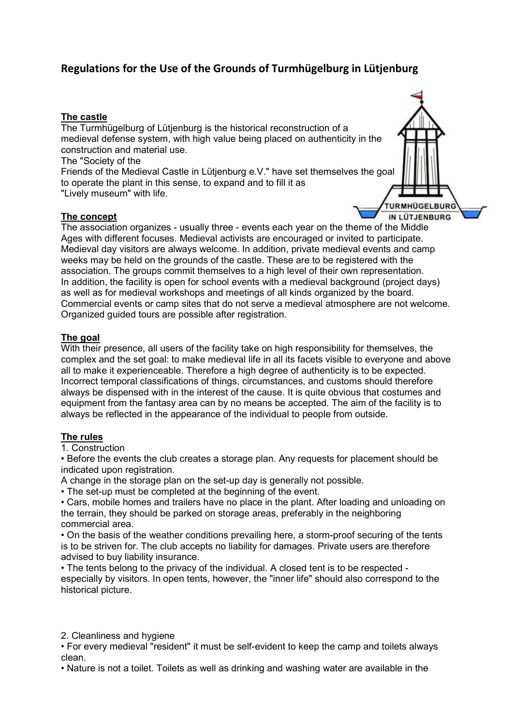# Regulations for the Use of the Grounds of Turmhügelburg in Lütjenburg

### The castle

The Turmhügelburg of Lütjenburg is the historical reconstruction of a medieval defense system, with high value being placed on authenticity in the construction and material use.

The "Society of the

Friends of the Medieval Castle in Lütjenburg e.V." have set themselves the goal to operate the plant in this sense, to expand and to fill it as "Lively museum" with life.

## The concept



The association organizes - usually three - events each year on the theme of the Middle Ages with different focuses. Medieval activists are encouraged or invited to participate. Medieval day visitors are always welcome. In addition, private medieval events and camp weeks may be held on the grounds of the castle. These are to be registered with the association. The groups commit themselves to a high level of their own representation. In addition, the facility is open for school events with a medieval background (project days) as well as for medieval workshops and meetings of all kinds organized by the board. Commercial events or camp sites that do not serve a medieval atmosphere are not welcome. Organized guided tours are possible after registration.

## The goal

With their presence, all users of the facility take on high responsibility for themselves, the complex and the set goal: to make medieval life in all its facets visible to everyone and above all to make it experienceable. Therefore a high degree of authenticity is to be expected. Incorrect temporal classifications of things, circumstances, and customs should therefore always be dispensed with in the interest of the cause. It is quite obvious that costumes and equipment from the fantasy area can by no means be accepted. The aim of the facility is to always be reflected in the appearance of the individual to people from outside.

# The rules

1. Construction

• Before the events the club creates a storage plan. Any requests for placement should be indicated upon registration.

A change in the storage plan on the set-up day is generally not possible.

• The set-up must be completed at the beginning of the event.

• Cars, mobile homes and trailers have no place in the plant. After loading and unloading on the terrain, they should be parked on storage areas, preferably in the neighboring commercial area.

• On the basis of the weather conditions prevailing here, a storm-proof securing of the tents is to be striven for. The club accepts no liability for damages. Private users are therefore advised to buy liability insurance.

• The tents belong to the privacy of the individual. A closed tent is to be respected especially by visitors. In open tents, however, the "inner life" should also correspond to the historical picture.

### 2. Cleanliness and hygiene

• For every medieval "resident" it must be self-evident to keep the camp and toilets always clean.

• Nature is not a toilet. Toilets as well as drinking and washing water are available in the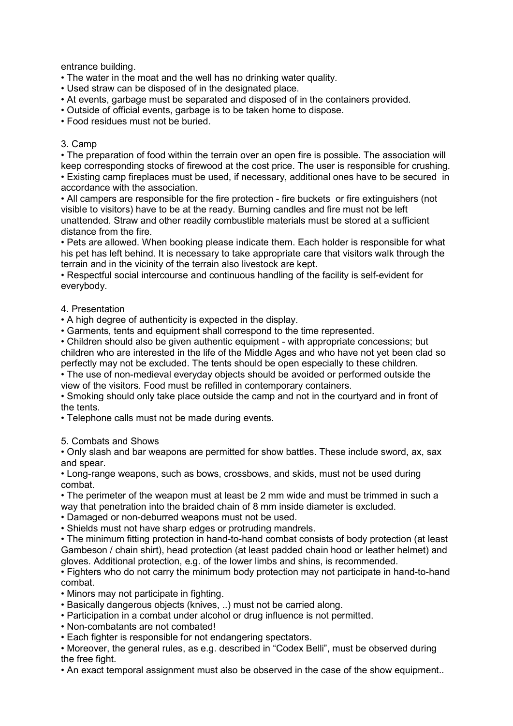entrance building.

• The water in the moat and the well has no drinking water quality.

- Used straw can be disposed of in the designated place.
- At events, garbage must be separated and disposed of in the containers provided.
- Outside of official events, garbage is to be taken home to dispose.

• Food residues must not be buried.

#### 3. Camp

• The preparation of food within the terrain over an open fire is possible. The association will keep corresponding stocks of firewood at the cost price. The user is responsible for crushing. • Existing camp fireplaces must be used, if necessary, additional ones have to be secured in accordance with the association.

• All campers are responsible for the fire protection - fire buckets or fire extinguishers (not visible to visitors) have to be at the ready. Burning candles and fire must not be left unattended. Straw and other readily combustible materials must be stored at a sufficient distance from the fire.

• Pets are allowed. When booking please indicate them. Each holder is responsible for what his pet has left behind. It is necessary to take appropriate care that visitors walk through the terrain and in the vicinity of the terrain also livestock are kept.

• Respectful social intercourse and continuous handling of the facility is self-evident for everybody.

#### 4. Presentation

• A high degree of authenticity is expected in the display.

• Garments, tents and equipment shall correspond to the time represented.

• Children should also be given authentic equipment - with appropriate concessions; but children who are interested in the life of the Middle Ages and who have not yet been clad so perfectly may not be excluded. The tents should be open especially to these children.

• The use of non-medieval everyday objects should be avoided or performed outside the view of the visitors. Food must be refilled in contemporary containers.

• Smoking should only take place outside the camp and not in the courtyard and in front of the tents.

• Telephone calls must not be made during events.

5. Combats and Shows

• Only slash and bar weapons are permitted for show battles. These include sword, ax, sax and spear.

• Long-range weapons, such as bows, crossbows, and skids, must not be used during combat.

• The perimeter of the weapon must at least be 2 mm wide and must be trimmed in such a way that penetration into the braided chain of 8 mm inside diameter is excluded.

- Damaged or non-deburred weapons must not be used.
- Shields must not have sharp edges or protruding mandrels.

• The minimum fitting protection in hand-to-hand combat consists of body protection (at least Gambeson / chain shirt), head protection (at least padded chain hood or leather helmet) and gloves. Additional protection, e.g. of the lower limbs and shins, is recommended.

• Fighters who do not carry the minimum body protection may not participate in hand-to-hand combat.

• Minors may not participate in fighting.

- Basically dangerous objects (knives, ..) must not be carried along.
- Participation in a combat under alcohol or drug influence is not permitted.
- Non-combatants are not combated!
- Each fighter is responsible for not endangering spectators.

• Moreover, the general rules, as e.g. described in "Codex Belli", must be observed during the free fight.

• An exact temporal assignment must also be observed in the case of the show equipment..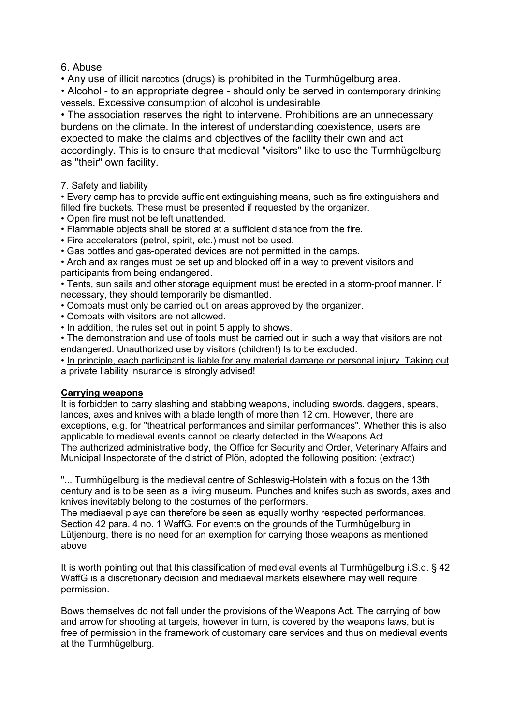# 6. Abuse

• Any use of illicit narcotics (drugs) is prohibited in the Turmhügelburg area.

• Alcohol - to an appropriate degree - should only be served in contemporary drinking vessels. Excessive consumption of alcohol is undesirable

• The association reserves the right to intervene. Prohibitions are an unnecessary burdens on the climate. In the interest of understanding coexistence, users are expected to make the claims and objectives of the facility their own and act accordingly. This is to ensure that medieval "visitors" like to use the Turmhügelburg as "their" own facility.

7. Safety and liability

• Every camp has to provide sufficient extinguishing means, such as fire extinguishers and filled fire buckets. These must be presented if requested by the organizer.

- Open fire must not be left unattended.
- Flammable objects shall be stored at a sufficient distance from the fire.
- Fire accelerators (petrol, spirit, etc.) must not be used.
- Gas bottles and gas-operated devices are not permitted in the camps.

• Arch and ax ranges must be set up and blocked off in a way to prevent visitors and participants from being endangered.

• Tents, sun sails and other storage equipment must be erected in a storm-proof manner. If necessary, they should temporarily be dismantled.

- Combats must only be carried out on areas approved by the organizer.
- Combats with visitors are not allowed.
- In addition, the rules set out in point 5 apply to shows.

• The demonstration and use of tools must be carried out in such a way that visitors are not endangered. Unauthorized use by visitors (children!) Is to be excluded.

• In principle, each participant is liable for any material damage or personal injury. Taking out a private liability insurance is strongly advised!

### Carrying weapons

It is forbidden to carry slashing and stabbing weapons, including swords, daggers, spears, lances, axes and knives with a blade length of more than 12 cm. However, there are exceptions, e.g. for "theatrical performances and similar performances". Whether this is also applicable to medieval events cannot be clearly detected in the Weapons Act. The authorized administrative body, the Office for Security and Order, Veterinary Affairs and Municipal Inspectorate of the district of Plön, adopted the following position: (extract)

"... Turmhügelburg is the medieval centre of Schleswig-Holstein with a focus on the 13th century and is to be seen as a living museum. Punches and knifes such as swords, axes and knives inevitably belong to the costumes of the performers.

The mediaeval plays can therefore be seen as equally worthy respected performances. Section 42 para. 4 no. 1 WaffG. For events on the grounds of the Turmhügelburg in Lütjenburg, there is no need for an exemption for carrying those weapons as mentioned above.

It is worth pointing out that this classification of medieval events at Turmhügelburg i.S.d. § 42 WaffG is a discretionary decision and mediaeval markets elsewhere may well require permission.

Bows themselves do not fall under the provisions of the Weapons Act. The carrying of bow and arrow for shooting at targets, however in turn, is covered by the weapons laws, but is free of permission in the framework of customary care services and thus on medieval events at the Turmhügelburg.